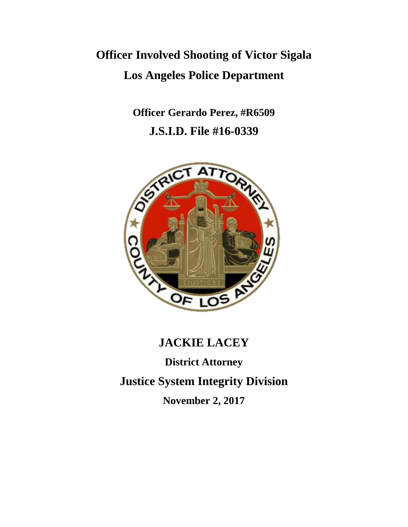# **Officer Involved Shooting of Victor Sigala Los Angeles Police Department**

**Officer Gerardo Perez, #R6509 J.S.I.D. File #16-0339**



# **JACKIE LACEY**

**District Attorney Justice System Integrity Division**

**November 2, 2017**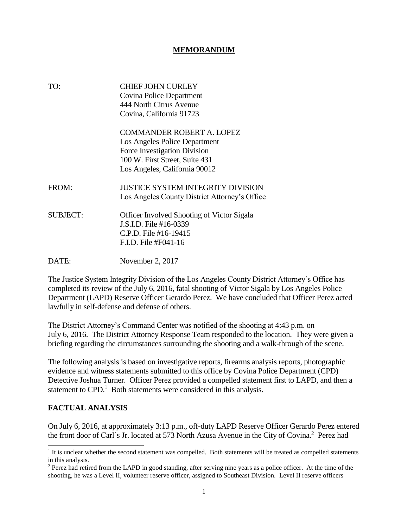#### **MEMORANDUM**

| TO:             | <b>CHIEF JOHN CURLEY</b><br>Covina Police Department<br>444 North Citrus Avenue<br>Covina, California 91723                                                          |  |  |
|-----------------|----------------------------------------------------------------------------------------------------------------------------------------------------------------------|--|--|
|                 | <b>COMMANDER ROBERT A. LOPEZ</b><br>Los Angeles Police Department<br>Force Investigation Division<br>100 W. First Street, Suite 431<br>Los Angeles, California 90012 |  |  |
| FROM:           | <b>JUSTICE SYSTEM INTEGRITY DIVISION</b><br>Los Angeles County District Attorney's Office                                                                            |  |  |
| <b>SUBJECT:</b> | <b>Officer Involved Shooting of Victor Sigala</b><br>J.S.I.D. File #16-0339<br>C.P.D. File #16-19415<br>F.I.D. File #F041-16                                         |  |  |
| DATE:           | November 2, 2017                                                                                                                                                     |  |  |

The Justice System Integrity Division of the Los Angeles County District Attorney's Office has completed its review of the July 6, 2016, fatal shooting of Victor Sigala by Los Angeles Police Department (LAPD) Reserve Officer Gerardo Perez. We have concluded that Officer Perez acted lawfully in self-defense and defense of others.

The District Attorney's Command Center was notified of the shooting at 4:43 p.m. on July 6, 2016. The District Attorney Response Team responded to the location. They were given a briefing regarding the circumstances surrounding the shooting and a walk-through of the scene.

The following analysis is based on investigative reports, firearms analysis reports, photographic evidence and witness statements submitted to this office by Covina Police Department (CPD) Detective Joshua Turner. Officer Perez provided a compelled statement first to LAPD, and then a statement to  $\text{CPD}$ <sup>1</sup>. Both statements were considered in this analysis.

#### **FACTUAL ANALYSIS**

 $\overline{a}$ 

On July 6, 2016, at approximately 3:13 p.m., off-duty LAPD Reserve Officer Gerardo Perez entered the front door of Carl's Jr. located at 573 North Azusa Avenue in the City of Covina. 2 Perez had

<sup>&</sup>lt;sup>1</sup> It is unclear whether the second statement was compelled. Both statements will be treated as compelled statements in this analysis.

<sup>&</sup>lt;sup>2</sup> Perez had retired from the LAPD in good standing, after serving nine years as a police officer. At the time of the shooting, he was a Level II, volunteer reserve officer, assigned to Southeast Division. Level II reserve officers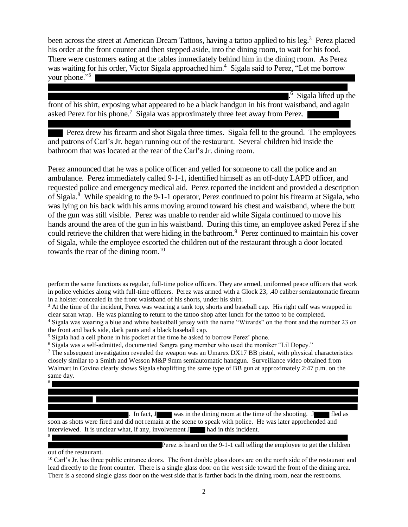been across the street at American Dream Tattoos, having a tattoo applied to his leg.<sup>3</sup> Perez placed his order at the front counter and then stepped aside, into the dining room, to wait for his food. There were customers eating at the tables immediately behind him in the dining room. As Perez was waiting for his order, Victor Sigala approached him.<sup>4</sup> Sigala said to Perez, "Let me borrow your phone."<sup>5</sup>

. 6 Sigala lifted up the front of his shirt, exposing what appeared to be a black handgun in his front waistband, and again asked Perez for his phone.<sup>7</sup> Sigala was approximately three feet away from Perez.

 Perez drew his firearm and shot Sigala three times. Sigala fell to the ground. The employees and patrons of Carl's Jr. began running out of the restaurant. Several children hid inside the bathroom that was located at the rear of the Carl's Jr. dining room.

Perez announced that he was a police officer and yelled for someone to call the police and an ambulance. Perez immediately called 9-1-1, identified himself as an off-duty LAPD officer, and requested police and emergency medical aid. Perez reported the incident and provided a description of Sigala.<sup>8</sup> While speaking to the 9-1-1 operator, Perez continued to point his firearm at Sigala, who was lying on his back with his arms moving around toward his chest and waistband, where the butt of the gun was still visible. Perez was unable to render aid while Sigala continued to move his hands around the area of the gun in his waistband. During this time, an employee asked Perez if she could retrieve the children that were hiding in the bathroom.<sup>9</sup> Perez continued to maintain his cover of Sigala, while the employee escorted the children out of the restaurant through a door located towards the rear of the dining room.<sup>10</sup>

 $\overline{a}$ 

8

9

perform the same functions as regular, full-time police officers. They are armed, uniformed peace officers that work in police vehicles along with full-time officers. Perez was armed with a Glock 23, .40 caliber semiautomatic firearm in a holster concealed in the front waistband of his shorts, under his shirt.

<sup>&</sup>lt;sup>3</sup> At the time of the incident, Perez was wearing a tank top, shorts and baseball cap. His right calf was wrapped in clear saran wrap. He was planning to return to the tattoo shop after lunch for the tattoo to be completed.

<sup>4</sup> Sigala was wearing a blue and white basketball jersey with the name "Wizards" on the front and the number 23 on the front and back side, dark pants and a black baseball cap.

<sup>5</sup> Sigala had a cell phone in his pocket at the time he asked to borrow Perez' phone.

<sup>6</sup> Sigala was a self-admitted, documented Sangra gang member who used the moniker "Lil Dopey."

<sup>7</sup> The subsequent investigation revealed the weapon was an Umarex DX17 BB pistol, with physical characteristics closely similar to a Smith and Wesson M&P 9mm semiautomatic handgun. Surveillance video obtained from Walmart in Covina clearly shows Sigala shoplifting the same type of BB gun at approximately 2:47 p.m. on the same day.

<sup>.</sup> In fact, J was in the dining room at the time of the shooting. J fled as soon as shots were fired and did not remain at the scene to speak with police. He was later apprehended and interviewed. It is unclear what, if any, involvement J had in this incident.

Perez is heard on the 9-1-1 call telling the employee to get the children

out of the restaurant.

 $10$  Carl's Jr. has three public entrance doors. The front double glass doors are on the north side of the restaurant and lead directly to the front counter. There is a single glass door on the west side toward the front of the dining area. There is a second single glass door on the west side that is farther back in the dining room, near the restrooms.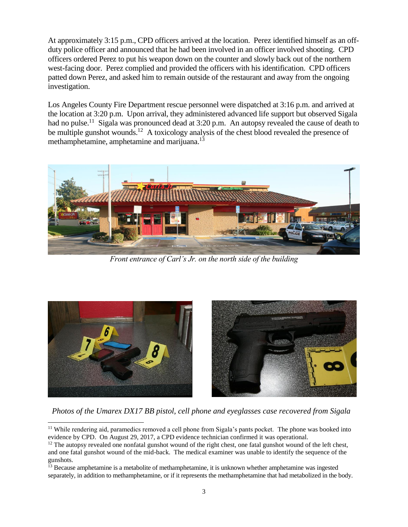At approximately 3:15 p.m., CPD officers arrived at the location. Perez identified himself as an offduty police officer and announced that he had been involved in an officer involved shooting. CPD officers ordered Perez to put his weapon down on the counter and slowly back out of the northern west-facing door. Perez complied and provided the officers with his identification. CPD officers patted down Perez, and asked him to remain outside of the restaurant and away from the ongoing investigation.

Los Angeles County Fire Department rescue personnel were dispatched at 3:16 p.m. and arrived at the location at 3:20 p.m. Upon arrival, they administered advanced life support but observed Sigala had no pulse.<sup>11</sup> Sigala was pronounced dead at 3:20 p.m. An autopsy revealed the cause of death to be multiple gunshot wounds.<sup>12</sup> A toxicology analysis of the chest blood revealed the presence of methamphetamine, amphetamine and marijuana.<sup>13</sup>



*Front entrance of Carl's Jr. on the north side of the building*



 *Photos of the Umarex DX17 BB pistol, cell phone and eyeglasses case recovered from Sigala*

 $\overline{a}$ <sup>11</sup> While rendering aid, paramedics removed a cell phone from Sigala's pants pocket. The phone was booked into evidence by CPD. On August 29, 2017, a CPD evidence technician confirmed it was operational.

 $12$  The autopsy revealed one nonfatal gunshot wound of the right chest, one fatal gunshot wound of the left chest, and one fatal gunshot wound of the mid-back. The medical examiner was unable to identify the sequence of the gunshots.

<sup>&</sup>lt;sup>13</sup> Because amphetamine is a metabolite of methamphetamine, it is unknown whether amphetamine was ingested separately, in addition to methamphetamine, or if it represents the methamphetamine that had metabolized in the body.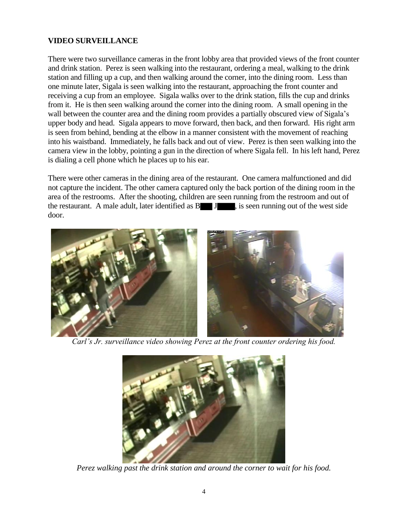# **VIDEO SURVEILLANCE**

There were two surveillance cameras in the front lobby area that provided views of the front counter and drink station. Perez is seen walking into the restaurant, ordering a meal, walking to the drink station and filling up a cup, and then walking around the corner, into the dining room. Less than one minute later, Sigala is seen walking into the restaurant, approaching the front counter and receiving a cup from an employee. Sigala walks over to the drink station, fills the cup and drinks from it. He is then seen walking around the corner into the dining room. A small opening in the wall between the counter area and the dining room provides a partially obscured view of Sigala's upper body and head. Sigala appears to move forward, then back, and then forward. His right arm is seen from behind, bending at the elbow in a manner consistent with the movement of reaching into his waistband. Immediately, he falls back and out of view. Perez is then seen walking into the camera view in the lobby, pointing a gun in the direction of where Sigala fell. In his left hand, Perez is dialing a cell phone which he places up to his ear.

There were other cameras in the dining area of the restaurant. One camera malfunctioned and did not capture the incident. The other camera captured only the back portion of the dining room in the area of the restrooms. After the shooting, children are seen running from the restroom and out of the restaurant. A male adult, later identified as  $B \cup J$ , is seen running out of the west side door.



*Carl's Jr. surveillance video showing Perez at the front counter ordering his food.*



*Perez walking past the drink station and around the corner to wait for his food.*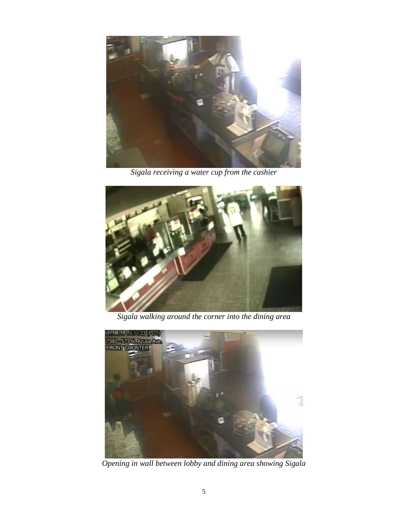

*Sigala receiving a water cup from the cashier*



*Sigala walking around the corner into the dining area*



*Opening in wall between lobby and dining area showing Sigala*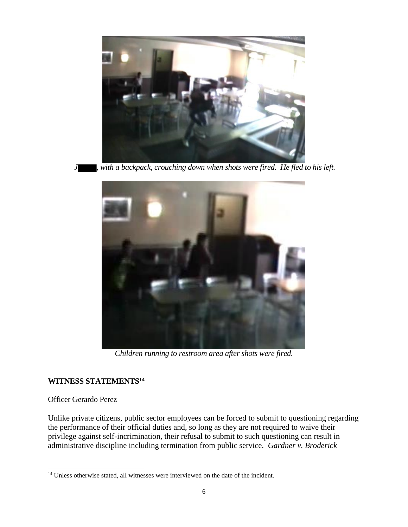

with a backpack, crouching down when shots were fired. He fled to his left.



*Children running to restroom area after shots were fired.*

#### **WITNESS STATEMENTS<sup>14</sup>**

#### Officer Gerardo Perez

l

Unlike private citizens, public sector employees can be forced to submit to questioning regarding the performance of their official duties and, so long as they are not required to waive their privilege against self-incrimination, their refusal to submit to such questioning can result in administrative discipline including termination from public service. *Gardner v. Broderick*

<sup>&</sup>lt;sup>14</sup> Unless otherwise stated, all witnesses were interviewed on the date of the incident.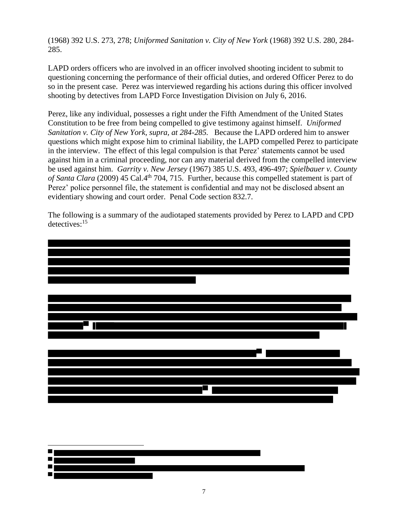(1968) 392 U.S. 273, 278; *Uniformed Sanitation v. City of New York* (1968) 392 U.S. 280, 284- 285.

LAPD orders officers who are involved in an officer involved shooting incident to submit to questioning concerning the performance of their official duties, and ordered Officer Perez to do so in the present case. Perez was interviewed regarding his actions during this officer involved shooting by detectives from LAPD Force Investigation Division on July 6, 2016.

Perez, like any individual, possesses a right under the Fifth Amendment of the United States Constitution to be free from being compelled to give testimony against himself. *Uniformed Sanitation v. City of New York, supra, at 284-285.* Because the LAPD ordered him to answer questions which might expose him to criminal liability, the LAPD compelled Perez to participate in the interview. The effect of this legal compulsion is that Perez' statements cannot be used against him in a criminal proceeding, nor can any material derived from the compelled interview be used against him. *Garrity v. New Jersey* (1967) 385 U.S. 493, 496-497; *Spielbauer v. County*  of Santa Clara (2009) 45 Cal.4<sup>th</sup> 704, 715. Further, because this compelled statement is part of Perez' police personnel file, the statement is confidential and may not be disclosed absent an evidentiary showing and court order. Penal Code section 832.7.

The following is a summary of the audiotaped statements provided by Perez to LAPD and CPD detectives:<sup>15</sup>



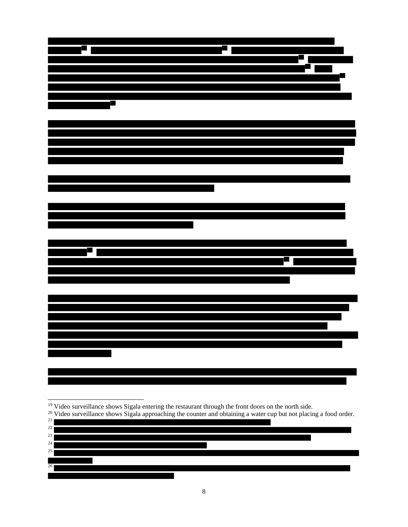Video surveillance shows Sigala entering the restaurant through the front doors on the north side.

 $\overline{\phantom{a}}$ 

|  | <sup>20</sup> Video surveillance shows Sigala approaching the counter and obtaining a water cup but not placing a food order. |  |
|--|-------------------------------------------------------------------------------------------------------------------------------|--|
|  |                                                                                                                               |  |

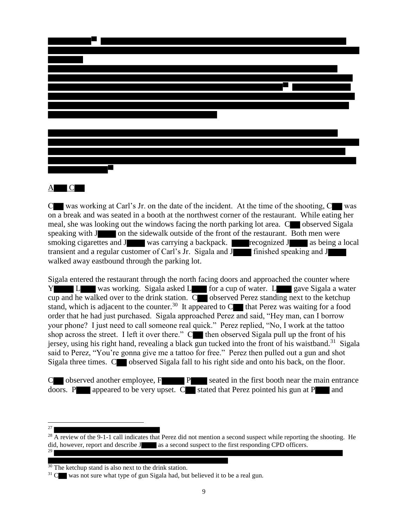

#### $\underline{A}$   $\underline{C}$

 $C$  was working at Carl's Jr. on the date of the incident. At the time of the shooting,  $C$  was on a break and was seated in a booth at the northwest corner of the restaurant. While eating her meal, she was looking out the windows facing the north parking lot area.  $\mathbb{C}$  observed Sigala speaking with J on the sidewalk outside of the front of the restaurant. Both men were smoking cigarettes and J was carrying a backpack. recognized J as being a local transient and a regular customer of Carl's Jr. Sigala and J finished speaking and J walked away eastbound through the parking lot.

Sigala entered the restaurant through the north facing doors and approached the counter where Y L was working. Sigala asked L for a cup of water. L gave Sigala a water cup and he walked over to the drink station.  $\overline{C}$  observed Perez standing next to the ketchup stand, which is adjacent to the counter.<sup>30</sup> It appeared to  $C$  that Perez was waiting for a food order that he had just purchased. Sigala approached Perez and said, "Hey man, can I borrow your phone? I just need to call someone real quick." Perez replied, "No, I work at the tattoo shop across the street. I left it over there."  $C^{\bullet}$  then observed Sigala pull up the front of his jersey, using his right hand, revealing a black gun tucked into the front of his waistband.<sup>31</sup> Sigala said to Perez, "You're gonna give me a tattoo for free." Perez then pulled out a gun and shot Sigala three times. C observed Sigala fall to his right side and onto his back, on the floor.

C observed another employee, F P seated in the first booth near the main entrance doors. P appeared to be very upset.  $C$  stated that Perez pointed his gun at P and

 $\frac{1}{27}$ 

 $^{28}$  A review of the 9-1-1 call indicates that Perez did not mention a second suspect while reporting the shooting. He did, however, report and describe J as a second suspect to the first responding CPD officers. 29

<sup>&</sup>lt;sup>30</sup> The ketchup stand is also next to the drink station.

 $31$  C was not sure what type of gun Sigala had, but believed it to be a real gun.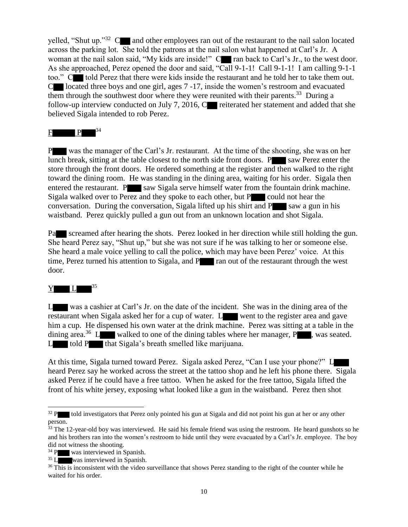yelled, "Shut up."<sup>32</sup> C and other employees ran out of the restaurant to the nail salon located across the parking lot. She told the patrons at the nail salon what happened at Carl's Jr. A woman at the nail salon said, "My kids are inside!" C**row** ran back to Carl's Jr., to the west door. As she approached, Perez opened the door and said, "Call 9-1-1! Call 9-1-1! I am calling 9-1-1 too." C told Perez that there were kids inside the restaurant and he told her to take them out. C located three boys and one girl, ages 7 -17, inside the women's restroom and evacuated them through the southwest door where they were reunited with their parents.<sup>33</sup> During a follow-up interview conducted on July 7, 2016,  $C$  reiterated her statement and added that she believed Sigala intended to rob Perez.

# $F \t P$

P was the manager of the Carl's Jr. restaurant. At the time of the shooting, she was on her lunch break, sitting at the table closest to the north side front doors.  $P$  saw Perez enter the store through the front doors. He ordered something at the register and then walked to the right toward the dining room. He was standing in the dining area, waiting for his order. Sigala then entered the restaurant. P saw Sigala serve himself water from the fountain drink machine. Sigala walked over to Perez and they spoke to each other, but P could not hear the conversation. During the conversation, Sigala lifted up his shirt and  $P$  saw a gun in his waistband. Perez quickly pulled a gun out from an unknown location and shot Sigala.

Passer screamed after hearing the shots. Perez looked in her direction while still holding the gun. She heard Perez say, "Shut up," but she was not sure if he was talking to her or someone else. She heard a male voice yelling to call the police, which may have been Perez' voice. At this time, Perez turned his attention to Sigala, and P ran out of the restaurant through the west door.

# $Y$  L  $^{35}$

l

L was a cashier at Carl's Jr. on the date of the incident. She was in the dining area of the restaurant when Sigala asked her for a cup of water. L went to the register area and gave him a cup. He dispensed his own water at the drink machine. Perez was sitting at a table in the dining area.<sup>36</sup> L walked to one of the dining tables where her manager, P , was seated.  $L$  told P that Sigala's breath smelled like marijuana.

At this time, Sigala turned toward Perez. Sigala asked Perez, "Can I use your phone?" L heard Perez say he worked across the street at the tattoo shop and he left his phone there. Sigala asked Perez if he could have a free tattoo. When he asked for the free tattoo, Sigala lifted the front of his white jersey, exposing what looked like a gun in the waistband. Perez then shot

<sup>&</sup>lt;sup>32</sup> P told investigators that Perez only pointed his gun at Sigala and did not point his gun at her or any other person.

 $33$  The 12-year-old boy was interviewed. He said his female friend was using the restroom. He heard gunshots so he and his brothers ran into the women's restroom to hide until they were evacuated by a Carl's Jr. employee. The boy did not witness the shooting.

<sup>&</sup>lt;sup>34</sup> P was interviewed in Spanish.

<sup>35</sup> L was interviewed in Spanish.

<sup>&</sup>lt;sup>36</sup> This is inconsistent with the video surveillance that shows Perez standing to the right of the counter while he waited for his order.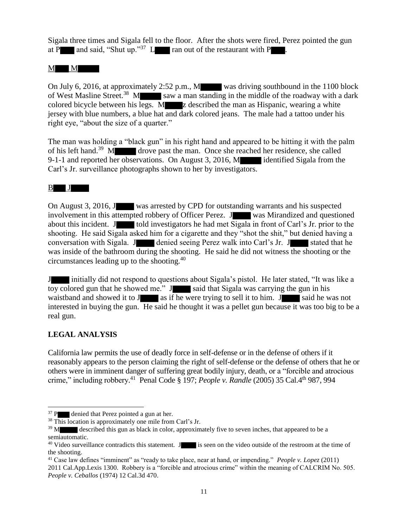Sigala three times and Sigala fell to the floor. After the shots were fired, Perez pointed the gun at P and said, "Shut up."<sup>37</sup> L ran out of the restaurant with P  $\blacksquare$ .

 $M$  M

On July 6, 2016, at approximately 2:52 p.m., M was driving southbound in the 1100 block of West Masline Street.<sup>38</sup> M saw a man standing in the middle of the roadway with a dark colored bicycle between his legs. M z described the man as Hispanic, wearing a white jersey with blue numbers, a blue hat and dark colored jeans. The male had a tattoo under his right eye, "about the size of a quarter."

The man was holding a "black gun" in his right hand and appeared to be hitting it with the palm of his left hand.<sup>39</sup> M drove past the man. Once she reached her residence, she called 9-1-1 and reported her observations. On August 3, 2016, M identified Sigala from the Carl's Jr. surveillance photographs shown to her by investigators.

 $\mathbf{B}$  J

On August 3, 2016, J was arrested by CPD for outstanding warrants and his suspected involvement in this attempted robbery of Officer Perez. J was Mirandized and questioned about this incident. J told investigators he had met Sigala in front of Carl's Jr. prior to the shooting. He said Sigala asked him for a cigarette and they "shot the shit," but denied having a conversation with Sigala. J denied seeing Perez walk into Carl's Jr. J stated that he was inside of the bathroom during the shooting. He said he did not witness the shooting or the circumstances leading up to the shooting.<sup>40</sup>

J initially did not respond to questions about Sigala's pistol. He later stated, "It was like a toy colored gun that he showed me." J said that Sigala was carrying the gun in his waistband and showed it to J as if he were trying to sell it to him. J said he was not interested in buying the gun. He said he thought it was a pellet gun because it was too big to be a real gun.

# **LEGAL ANALYSIS**

l

California law permits the use of deadly force in self-defense or in the defense of others if it reasonably appears to the person claiming the right of self-defense or the defense of others that he or others were in imminent danger of suffering great bodily injury, death, or a "forcible and atrocious crime," including robbery.<sup>41</sup> Penal Code § 197; *People v. Randle* (2005) 35 Cal.4<sup>th</sup> 987, 994

 $37$  P denied that Perez pointed a gun at her.

<sup>&</sup>lt;sup>38</sup> This location is approximately one mile from Carl's Jr.

 $39$  M described this gun as black in color, approximately five to seven inches, that appeared to be a semiautomatic.

<sup>&</sup>lt;sup>40</sup> Video surveillance contradicts this statement. J is seen on the video outside of the restroom at the time of the shooting.

<sup>41</sup> Case law defines "imminent" as "ready to take place, near at hand, or impending." *People v. Lopez* (2011) 2011 Cal.App.Lexis 1300. Robbery is a "forcible and atrocious crime" within the meaning of CALCRIM No. 505. *People v. Ceballos* (1974) 12 Cal.3d 470.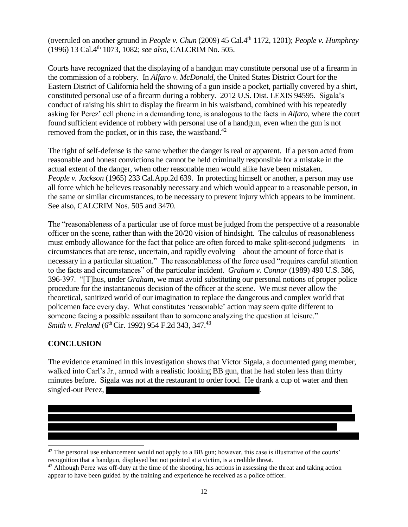(overruled on another ground in *People v. Chun* (2009) 45 Cal.4th 1172, 1201); *People v. Humphrey*  (1996) 13 Cal.4th 1073, 1082; *see also,* CALCRIM No. 505.

Courts have recognized that the displaying of a handgun may constitute personal use of a firearm in the commission of a robbery. In *Alfaro v. McDonald*, the United States District Court for the Eastern District of California held the showing of a gun inside a pocket, partially covered by a shirt, constituted personal use of a firearm during a robbery. 2012 U.S. Dist. LEXIS 94595. Sigala's conduct of raising his shirt to display the firearm in his waistband, combined with his repeatedly asking for Perez' cell phone in a demanding tone, is analogous to the facts in *Alfaro*, where the court found sufficient evidence of robbery with personal use of a handgun, even when the gun is not removed from the pocket, or in this case, the waistband.<sup>42</sup>

The right of self-defense is the same whether the danger is real or apparent. If a person acted from reasonable and honest convictions he cannot be held criminally responsible for a mistake in the actual extent of the danger, when other reasonable men would alike have been mistaken. *People v. Jackson* (1965) 233 Cal.App.2d 639. In protecting himself or another, a person may use all force which he believes reasonably necessary and which would appear to a reasonable person, in the same or similar circumstances, to be necessary to prevent injury which appears to be imminent. See also, CALCRIM Nos. 505 and 3470.

The "reasonableness of a particular use of force must be judged from the perspective of a reasonable officer on the scene, rather than with the 20/20 vision of hindsight. The calculus of reasonableness must embody allowance for the fact that police are often forced to make split-second judgments – in circumstances that are tense, uncertain, and rapidly evolving – about the amount of force that is necessary in a particular situation." The reasonableness of the force used "requires careful attention to the facts and circumstances" of the particular incident. *Graham v. Connor* (1989) 490 U.S. 386, 396-397. "[T]hus, under *Graham*, we must avoid substituting our personal notions of proper police procedure for the instantaneous decision of the officer at the scene. We must never allow the theoretical, sanitized world of our imagination to replace the dangerous and complex world that policemen face every day. What constitutes 'reasonable' action may seem quite different to someone facing a possible assailant than to someone analyzing the question at leisure." *Smith v. Freland* (6<sup>th</sup> Cir. 1992) 954 F.2d 343, 347.<sup>43</sup>

# **CONCLUSION**

 $\overline{\phantom{a}}$ 

The evidence examined in this investigation shows that Victor Sigala, a documented gang member, walked into Carl's Jr., armed with a realistic looking BB gun, that he had stolen less than thirty minutes before. Sigala was not at the restaurant to order food. He drank a cup of water and then singled-out Perez,

 $42$  The personal use enhancement would not apply to a BB gun; however, this case is illustrative of the courts' recognition that a handgun, displayed but not pointed at a victim, is a credible threat.

<sup>&</sup>lt;sup>43</sup> Although Perez was off-duty at the time of the shooting, his actions in assessing the threat and taking action appear to have been guided by the training and experience he received as a police officer.